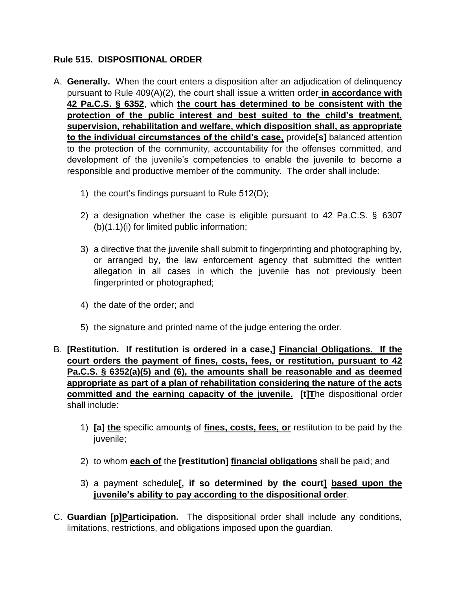# **Rule 515. DISPOSITIONAL ORDER**

- A. **Generally.** When the court enters a disposition after an adjudication of delinquency pursuant to Rule 409(A)(2), the court shall issue a written order **in accordance with 42 Pa.C.S. § 6352**, which **the court has determined to be consistent with the protection of the public interest and best suited to the child's treatment, supervision, rehabilitation and welfare, which disposition shall, as appropriate to the individual circumstances of the child's case,** provide**[s]** balanced attention to the protection of the community, accountability for the offenses committed, and development of the juvenile's competencies to enable the juvenile to become a responsible and productive member of the community. The order shall include:
	- 1) the court's findings pursuant to Rule 512(D);
	- 2) a designation whether the case is eligible pursuant to 42 Pa.C.S. § 6307 (b)(1.1)(i) for limited public information;
	- 3) a directive that the juvenile shall submit to fingerprinting and photographing by, or arranged by, the law enforcement agency that submitted the written allegation in all cases in which the juvenile has not previously been fingerprinted or photographed;
	- 4) the date of the order; and
	- 5) the signature and printed name of the judge entering the order.
- B. **[Restitution. If restitution is ordered in a case,] Financial Obligations. If the court orders the payment of fines, costs, fees, or restitution, pursuant to 42 Pa.C.S. § 6352(a)(5) and (6), the amounts shall be reasonable and as deemed appropriate as part of a plan of rehabilitation considering the nature of the acts committed and the earning capacity of the juvenile. [t]T**he dispositional order shall include:
	- 1) **[a] the** specific amount**s** of **fines, costs, fees, or** restitution to be paid by the juvenile;
	- 2) to whom **each of** the **[restitution] financial obligations** shall be paid; and
	- 3) a payment schedule**[, if so determined by the court] based upon the juvenile's ability to pay according to the dispositional order**.
- C. **Guardian [p]Participation.** The dispositional order shall include any conditions, limitations, restrictions, and obligations imposed upon the guardian.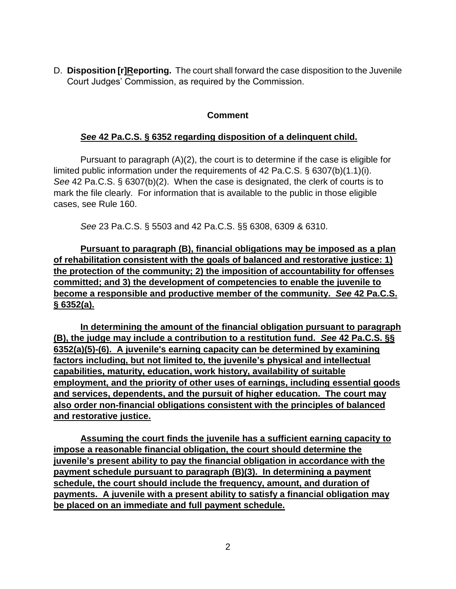D. **Disposition [r]Reporting.** The court shall forward the case disposition to the Juvenile Court Judges' Commission, as required by the Commission.

### **Comment**

# *See* **42 Pa.C.S. § 6352 regarding disposition of a delinquent child.**

Pursuant to paragraph (A)(2), the court is to determine if the case is eligible for limited public information under the requirements of 42 Pa.C.S. § 6307(b)(1.1)(i). *See* 42 Pa.C.S. § 6307(b)(2). When the case is designated, the clerk of courts is to mark the file clearly. For information that is available to the public in those eligible cases, see Rule 160.

*See* 23 Pa.C.S. § 5503 and 42 Pa.C.S. §§ 6308, 6309 & 6310.

**Pursuant to paragraph (B), financial obligations may be imposed as a plan of rehabilitation consistent with the goals of balanced and restorative justice: 1) the protection of the community; 2) the imposition of accountability for offenses committed; and 3) the development of competencies to enable the juvenile to become a responsible and productive member of the community.** *See* **42 Pa.C.S. § 6352(a).**

**In determining the amount of the financial obligation pursuant to paragraph (B), the judge may include a contribution to a restitution fund.** *See* **42 Pa.C.S. §§ 6352(a)(5)-(6). A juvenile's earning capacity can be determined by examining factors including, but not limited to, the juvenile's physical and intellectual capabilities, maturity, education, work history, availability of suitable employment, and the priority of other uses of earnings, including essential goods and services, dependents, and the pursuit of higher education. The court may also order non-financial obligations consistent with the principles of balanced and restorative justice.**

**Assuming the court finds the juvenile has a sufficient earning capacity to impose a reasonable financial obligation, the court should determine the juvenile's present ability to pay the financial obligation in accordance with the payment schedule pursuant to paragraph (B)(3). In determining a payment schedule, the court should include the frequency, amount, and duration of payments. A juvenile with a present ability to satisfy a financial obligation may be placed on an immediate and full payment schedule.**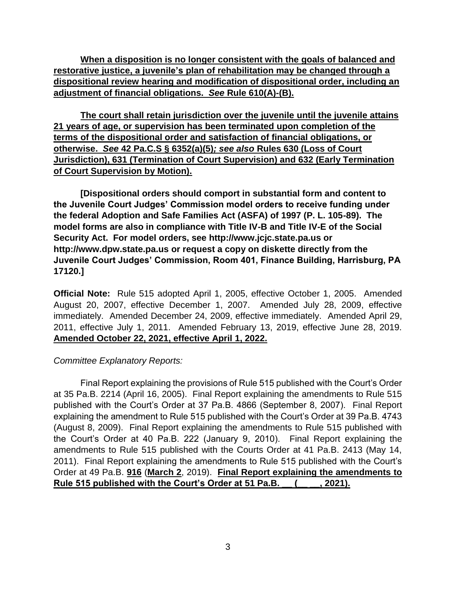**When a disposition is no longer consistent with the goals of balanced and restorative justice, a juvenile's plan of rehabilitation may be changed through a dispositional review hearing and modification of dispositional order, including an adjustment of financial obligations.** *See* **Rule 610(A)-(B).**

**The court shall retain jurisdiction over the juvenile until the juvenile attains 21 years of age, or supervision has been terminated upon completion of the terms of the dispositional order and satisfaction of financial obligations, or otherwise.** *See* **42 Pa.C.S § 6352(a)(5)***; see also* **Rules 630 (Loss of Court Jurisdiction), 631 (Termination of Court Supervision) and 632 (Early Termination of Court Supervision by Motion).**

**[Dispositional orders should comport in substantial form and content to the Juvenile Court Judges' Commission model orders to receive funding under the federal Adoption and Safe Families Act (ASFA) of 1997 (P. L. 105-89). The model forms are also in compliance with Title IV-B and Title IV-E of the Social Security Act. For model orders, see http://www.jcjc.state.pa.us or http://www.dpw.state.pa.us or request a copy on diskette directly from the Juvenile Court Judges' Commission, Room 401, Finance Building, Harrisburg, PA 17120.]**

**Official Note:** Rule 515 adopted April 1, 2005, effective October 1, 2005. Amended August 20, 2007, effective December 1, 2007. Amended July 28, 2009, effective immediately. Amended December 24, 2009, effective immediately. Amended April 29, 2011, effective July 1, 2011. Amended February 13, 2019, effective June 28, 2019. **Amended October 22, 2021, effective April 1, 2022.**

#### *Committee Explanatory Reports:*

 Final Report explaining the provisions of Rule 515 published with the Court's Order at 35 Pa.B. 2214 (April 16, 2005). Final Report explaining the amendments to Rule 515 published with the Court's Order at 37 Pa.B. 4866 (September 8, 2007). Final Report explaining the amendment to Rule 515 published with the Court's Order at 39 Pa.B. 4743 (August 8, 2009). Final Report explaining the amendments to Rule 515 published with the Court's Order at 40 Pa.B. 222 (January 9, 2010). Final Report explaining the amendments to Rule 515 published with the Courts Order at 41 Pa.B. 2413 (May 14, 2011). Final Report explaining the amendments to Rule 515 published with the Court's Order at 49 Pa.B. **916** (**March 2**, 2019). **Final Report explaining the amendments to Rule 515 published with the Court's Order at 51 Pa.B. \_\_ (\_\_ \_\_, 2021).**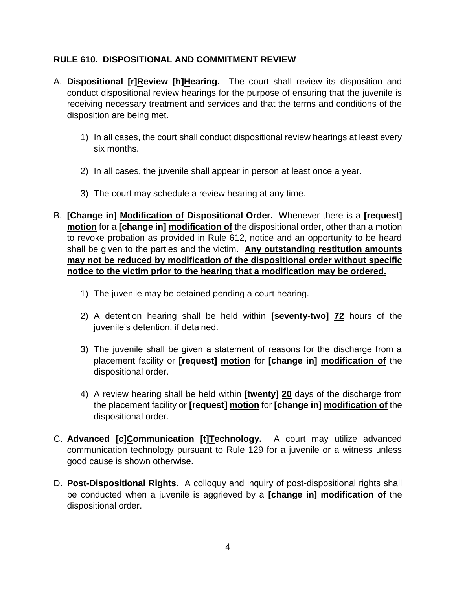# **RULE 610. DISPOSITIONAL AND COMMITMENT REVIEW**

- A. **Dispositional [r]Review [h]Hearing.** The court shall review its disposition and conduct dispositional review hearings for the purpose of ensuring that the juvenile is receiving necessary treatment and services and that the terms and conditions of the disposition are being met.
	- 1) In all cases, the court shall conduct dispositional review hearings at least every six months.
	- 2) In all cases, the juvenile shall appear in person at least once a year.
	- 3) The court may schedule a review hearing at any time.
- B. **[Change in] Modification of Dispositional Order.** Whenever there is a **[request] motion** for a **[change in] modification of** the dispositional order, other than a motion to revoke probation as provided in Rule 612, notice and an opportunity to be heard shall be given to the parties and the victim. **Any outstanding restitution amounts may not be reduced by modification of the dispositional order without specific notice to the victim prior to the hearing that a modification may be ordered.** 
	- 1) The juvenile may be detained pending a court hearing.
	- 2) A detention hearing shall be held within **[seventy-two] 72** hours of the juvenile's detention, if detained.
	- 3) The juvenile shall be given a statement of reasons for the discharge from a placement facility or **[request] motion** for **[change in] modification of** the dispositional order.
	- 4) A review hearing shall be held within **[twenty] 20** days of the discharge from the placement facility or **[request] motion** for **[change in] modification of** the dispositional order.
- C. **Advanced [c]Communication [t]Technology.** A court may utilize advanced communication technology pursuant to Rule 129 for a juvenile or a witness unless good cause is shown otherwise.
- D. **Post-Dispositional Rights.** A colloquy and inquiry of post-dispositional rights shall be conducted when a juvenile is aggrieved by a **[change in] modification of** the dispositional order.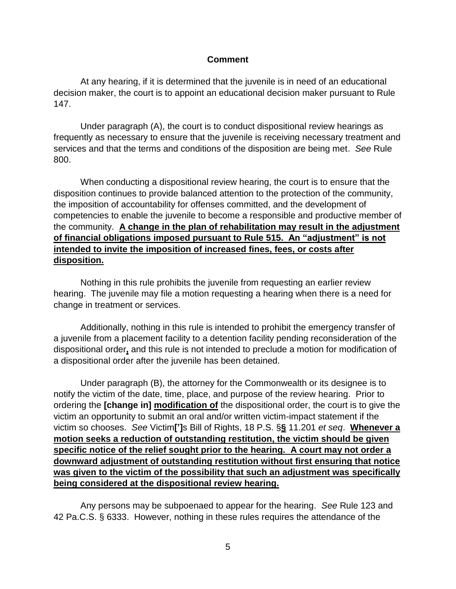#### **Comment**

 At any hearing, if it is determined that the juvenile is in need of an educational decision maker, the court is to appoint an educational decision maker pursuant to Rule 147.

 Under paragraph (A), the court is to conduct dispositional review hearings as frequently as necessary to ensure that the juvenile is receiving necessary treatment and services and that the terms and conditions of the disposition are being met. *See* Rule 800.

 When conducting a dispositional review hearing, the court is to ensure that the disposition continues to provide balanced attention to the protection of the community, the imposition of accountability for offenses committed, and the development of competencies to enable the juvenile to become a responsible and productive member of the community. **A change in the plan of rehabilitation may result in the adjustment of financial obligations imposed pursuant to Rule 515. An "adjustment" is not intended to invite the imposition of increased fines, fees, or costs after disposition.**

 Nothing in this rule prohibits the juvenile from requesting an earlier review hearing. The juvenile may file a motion requesting a hearing when there is a need for change in treatment or services.

 Additionally, nothing in this rule is intended to prohibit the emergency transfer of a juvenile from a placement facility to a detention facility pending reconsideration of the dispositional order**,** and this rule is not intended to preclude a motion for modification of a dispositional order after the juvenile has been detained.

 Under paragraph (B), the attorney for the Commonwealth or its designee is to notify the victim of the date, time, place, and purpose of the review hearing. Prior to ordering the **[change in] modification of** the dispositional order, the court is to give the victim an opportunity to submit an oral and/or written victim-impact statement if the victim so chooses. *See* Victim**[']**s Bill of Rights, 18 P.S. §**§** 11.201 *et seq*. **Whenever a motion seeks a reduction of outstanding restitution, the victim should be given specific notice of the relief sought prior to the hearing. A court may not order a downward adjustment of outstanding restitution without first ensuring that notice was given to the victim of the possibility that such an adjustment was specifically being considered at the dispositional review hearing.**

 Any persons may be subpoenaed to appear for the hearing. *See* Rule 123 and 42 Pa.C.S. § 6333. However, nothing in these rules requires the attendance of the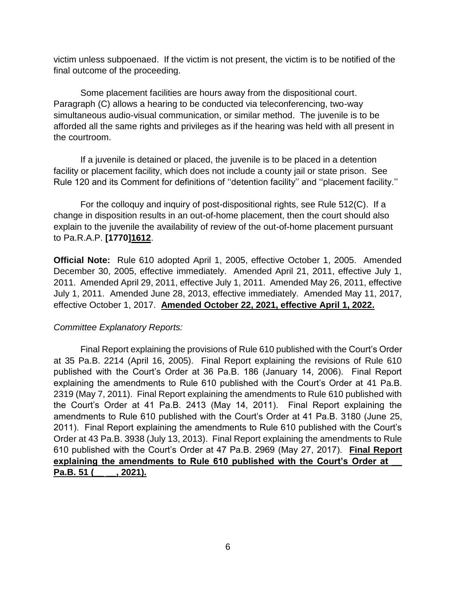victim unless subpoenaed. If the victim is not present, the victim is to be notified of the final outcome of the proceeding.

 Some placement facilities are hours away from the dispositional court. Paragraph (C) allows a hearing to be conducted via teleconferencing, two-way simultaneous audio-visual communication, or similar method. The juvenile is to be afforded all the same rights and privileges as if the hearing was held with all present in the courtroom.

 If a juvenile is detained or placed, the juvenile is to be placed in a detention facility or placement facility, which does not include a county jail or state prison. See Rule 120 and its Comment for definitions of ''detention facility'' and ''placement facility.''

 For the colloquy and inquiry of post-dispositional rights, see Rule 512(C). If a change in disposition results in an out-of-home placement, then the court should also explain to the juvenile the availability of review of the out-of-home placement pursuant to Pa.R.A.P. **[1770]1612**.

**Official Note:** Rule 610 adopted April 1, 2005, effective October 1, 2005. Amended December 30, 2005, effective immediately. Amended April 21, 2011, effective July 1, 2011. Amended April 29, 2011, effective July 1, 2011. Amended May 26, 2011, effective July 1, 2011. Amended June 28, 2013, effective immediately. Amended May 11, 2017, effective October 1, 2017. **Amended October 22, 2021, effective April 1, 2022.**

# *Committee Explanatory Reports:*

Final Report explaining the provisions of Rule 610 published with the Court's Order at 35 Pa.B. 2214 (April 16, 2005). Final Report explaining the revisions of Rule 610 published with the Court's Order at 36 Pa.B. 186 (January 14, 2006). Final Report explaining the amendments to Rule 610 published with the Court's Order at 41 Pa.B. 2319 (May 7, 2011). Final Report explaining the amendments to Rule 610 published with the Court's Order at 41 Pa.B. 2413 (May 14, 2011). Final Report explaining the amendments to Rule 610 published with the Court's Order at 41 Pa.B. 3180 (June 25, 2011). Final Report explaining the amendments to Rule 610 published with the Court's Order at 43 Pa.B. 3938 (July 13, 2013). Final Report explaining the amendments to Rule 610 published with the Court's Order at 47 Pa.B. 2969 (May 27, 2017). **Final Report explaining the amendments to Rule 610 published with the Court's Order at \_\_ Pa.B. 51 (\_\_ \_\_, 2021).**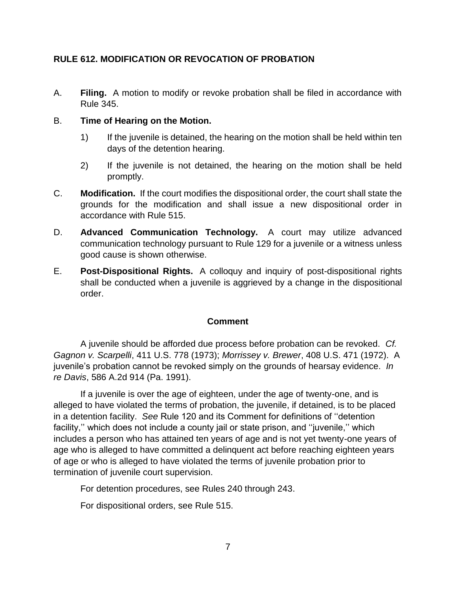# **RULE 612. MODIFICATION OR REVOCATION OF PROBATION**

A. **Filing.** A motion to modify or revoke probation shall be filed in accordance with Rule 345.

### B. **Time of Hearing on the Motion.**

- 1) If the juvenile is detained, the hearing on the motion shall be held within ten days of the detention hearing.
- 2) If the juvenile is not detained, the hearing on the motion shall be held promptly.
- C. **Modification.** If the court modifies the dispositional order, the court shall state the grounds for the modification and shall issue a new dispositional order in accordance with Rule 515.
- D. **Advanced Communication Technology.** A court may utilize advanced communication technology pursuant to Rule 129 for a juvenile or a witness unless good cause is shown otherwise.
- E. **Post-Dispositional Rights.** A colloquy and inquiry of post-dispositional rights shall be conducted when a juvenile is aggrieved by a change in the dispositional order.

#### **Comment**

 A juvenile should be afforded due process before probation can be revoked. *Cf. Gagnon v. Scarpelli*, 411 U.S. 778 (1973); *Morrissey v. Brewer*, 408 U.S. 471 (1972). A juvenile's probation cannot be revoked simply on the grounds of hearsay evidence. *In re Davis*, 586 A.2d 914 (Pa. 1991).

 If a juvenile is over the age of eighteen, under the age of twenty-one, and is alleged to have violated the terms of probation, the juvenile, if detained, is to be placed in a detention facility. *See* Rule 120 and its Comment for definitions of ''detention facility," which does not include a county jail or state prison, and "juvenile," which includes a person who has attained ten years of age and is not yet twenty-one years of age who is alleged to have committed a delinquent act before reaching eighteen years of age or who is alleged to have violated the terms of juvenile probation prior to termination of juvenile court supervision.

For detention procedures, see Rules 240 through 243.

For dispositional orders, see Rule 515.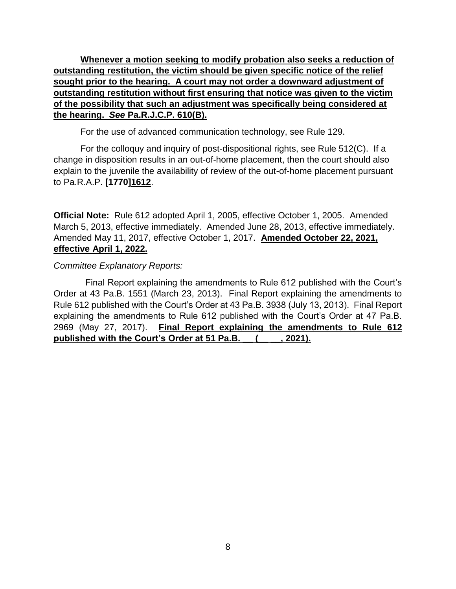**Whenever a motion seeking to modify probation also seeks a reduction of outstanding restitution, the victim should be given specific notice of the relief sought prior to the hearing. A court may not order a downward adjustment of outstanding restitution without first ensuring that notice was given to the victim of the possibility that such an adjustment was specifically being considered at the hearing.** *See* **Pa.R.J.C.P. 610(B).**

For the use of advanced communication technology, see Rule 129.

 For the colloquy and inquiry of post-dispositional rights, see Rule 512(C). If a change in disposition results in an out-of-home placement, then the court should also explain to the juvenile the availability of review of the out-of-home placement pursuant to Pa.R.A.P. **[1770]1612**.

**Official Note:** Rule 612 adopted April 1, 2005, effective October 1, 2005. Amended March 5, 2013, effective immediately. Amended June 28, 2013, effective immediately. Amended May 11, 2017, effective October 1, 2017. **Amended October 22, 2021, effective April 1, 2022.**

### *Committee Explanatory Reports:*

 Final Report explaining the amendments to Rule 612 published with the Court's Order at 43 Pa.B. 1551 (March 23, 2013). Final Report explaining the amendments to Rule 612 published with the Court's Order at 43 Pa.B. 3938 (July 13, 2013). Final Report explaining the amendments to Rule 612 published with the Court's Order at 47 Pa.B. 2969 (May 27, 2017). **Final Report explaining the amendments to Rule 612 published with the Court's Order at 51 Pa.B. \_\_ (\_\_ \_\_, 2021).**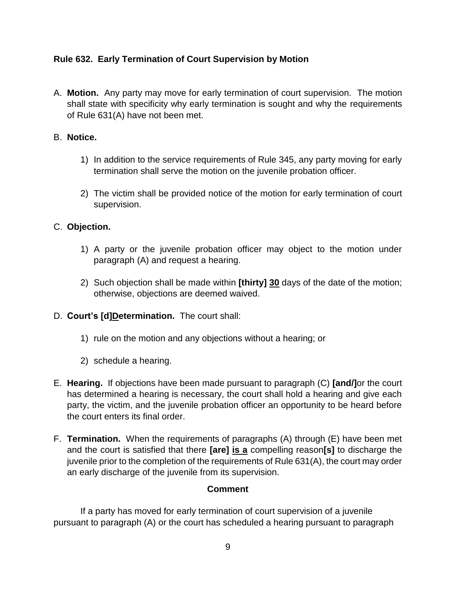# **Rule 632. Early Termination of Court Supervision by Motion**

A. **Motion.** Any party may move for early termination of court supervision. The motion shall state with specificity why early termination is sought and why the requirements of Rule 631(A) have not been met.

### B. **Notice.**

- 1) In addition to the service requirements of Rule 345, any party moving for early termination shall serve the motion on the juvenile probation officer.
- 2) The victim shall be provided notice of the motion for early termination of court supervision.

# C. **Objection.**

- 1) A party or the juvenile probation officer may object to the motion under paragraph (A) and request a hearing.
- 2) Such objection shall be made within **[thirty] 30** days of the date of the motion; otherwise, objections are deemed waived.

# D. **Court's [d]Determination.** The court shall:

- 1) rule on the motion and any objections without a hearing; or
- 2) schedule a hearing.
- E. **Hearing.** If objections have been made pursuant to paragraph (C) **[and/]**or the court has determined a hearing is necessary, the court shall hold a hearing and give each party, the victim, and the juvenile probation officer an opportunity to be heard before the court enters its final order.
- F. **Termination.** When the requirements of paragraphs (A) through (E) have been met and the court is satisfied that there **[are] is a** compelling reason**[s]** to discharge the juvenile prior to the completion of the requirements of Rule 631(A), the court may order an early discharge of the juvenile from its supervision.

#### **Comment**

 If a party has moved for early termination of court supervision of a juvenile pursuant to paragraph (A) or the court has scheduled a hearing pursuant to paragraph